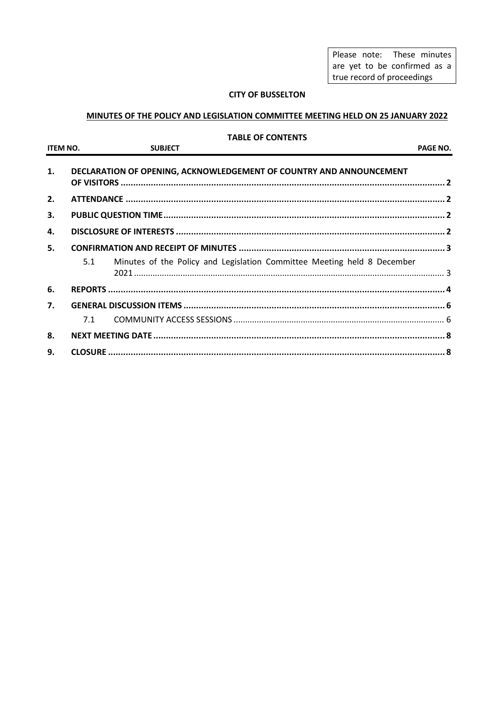Please note: These minutes are yet to be confirmed as a true record of proceedings

### **CITY OF BUSSELTON**

## MINUTES OF THE POLICY AND LEGISLATION COMMITTEE MEETING HELD ON 25 JANUARY 2022

#### **TABLE OF CONTENTS**

| <b>ITEM NO.</b> |     | <b>SUBJECT</b> |                                                                         | PAGE NO. |
|-----------------|-----|----------------|-------------------------------------------------------------------------|----------|
| 1.              |     |                | DECLARATION OF OPENING, ACKNOWLEDGEMENT OF COUNTRY AND ANNOUNCEMENT     |          |
| 2.              |     |                |                                                                         |          |
| 3.              |     |                |                                                                         |          |
| 4.              |     |                |                                                                         |          |
| 5.              |     |                |                                                                         |          |
|                 | 5.1 |                | Minutes of the Policy and Legislation Committee Meeting held 8 December |          |
| 6.              |     |                |                                                                         |          |
| 7.              |     |                |                                                                         |          |
|                 | 7.1 |                |                                                                         |          |
| 8.              |     |                |                                                                         |          |
| 9.              |     |                |                                                                         |          |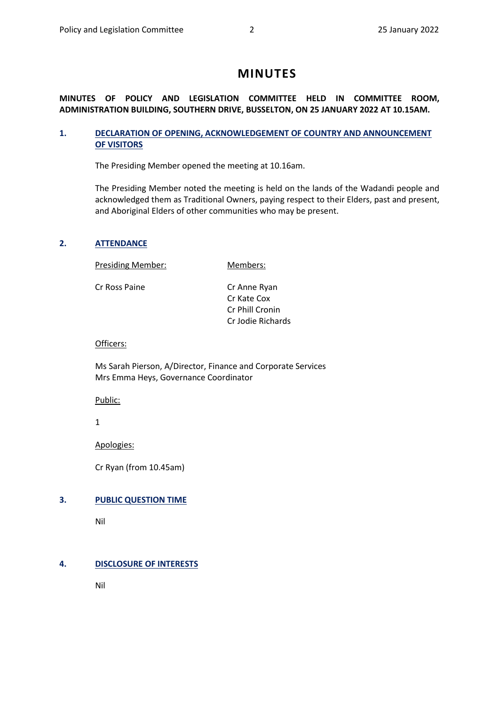# **MINUTES**

## **MINUTES OF POLICY AND LEGISLATION COMMITTEE HELD IN COMMITTEE ROOM, ADMINISTRATION BUILDING, SOUTHERN DRIVE, BUSSELTON, ON 25 JANUARY 2022 AT 10.15AM.**

### <span id="page-1-0"></span>**1. DECLARATION OF OPENING, ACKNOWLEDGEMENT OF COUNTRY AND ANNOUNCEMENT OF VISITORS**

The Presiding Member opened the meeting at 10.16am.

The Presiding Member noted the meeting is held on the lands of the Wadandi people and acknowledged them as Traditional Owners, paying respect to their Elders, past and present, and Aboriginal Elders of other communities who may be present.

#### <span id="page-1-1"></span>**2. ATTENDANCE**

Presiding Member: Members:

Cr Ross Paine **Cr Anne Ryan** 

Cr Kate Cox Cr Phill Cronin Cr Jodie Richards

#### Officers:

Ms Sarah Pierson, A/Director, Finance and Corporate Services Mrs Emma Heys, Governance Coordinator

Public:

1

Apologies:

Cr Ryan (from 10.45am)

## <span id="page-1-2"></span>**3. PUBLIC QUESTION TIME**

Nil

#### <span id="page-1-3"></span>**4. DISCLOSURE OF INTERESTS**

Nil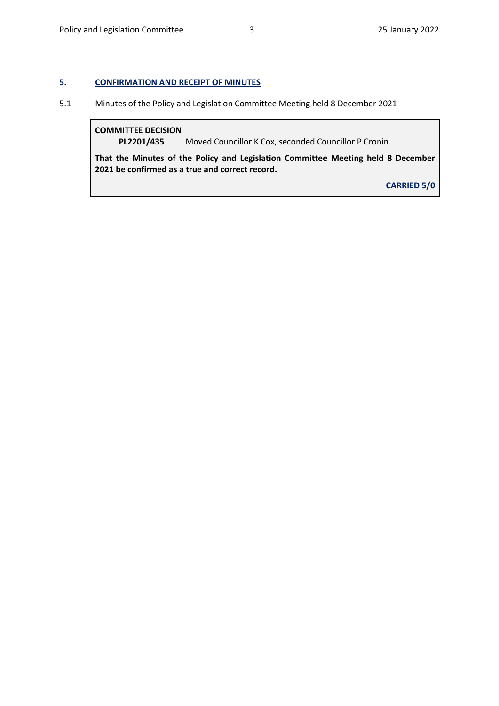### <span id="page-2-0"></span>**5. CONFIRMATION AND RECEIPT OF MINUTES**

# <span id="page-2-1"></span>5.1 Minutes of the Policy and Legislation Committee Meeting held 8 December 2021

### **COMMITTEE DECISION**

**PL2201/435** Moved Councillor K Cox, seconded Councillor P Cronin

**That the Minutes of the Policy and Legislation Committee Meeting held 8 December 2021 be confirmed as a true and correct record.**

**CARRIED 5/0**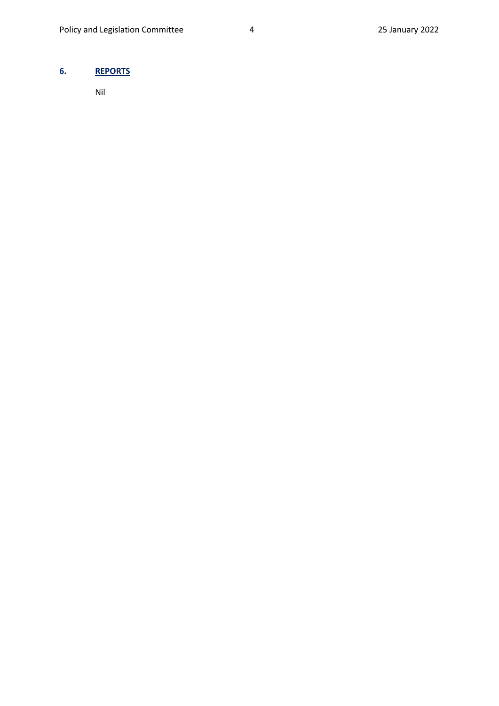# <span id="page-3-0"></span>**6. REPORTS**

Nil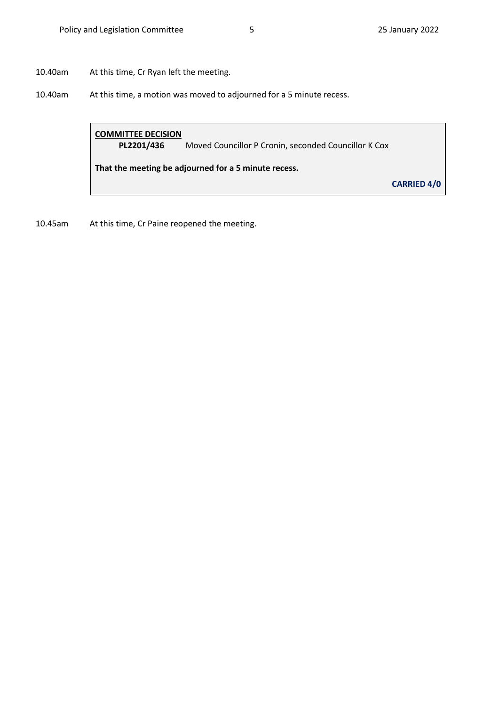10.40am At this time, Cr Ryan left the meeting.

10.40am At this time, a motion was moved to adjourned for a 5 minute recess.

# **COMMITTEE DECISION**

**PL2201/436** Moved Councillor P Cronin, seconded Councillor K Cox

**That the meeting be adjourned for a 5 minute recess.**

**CARRIED 4/0**

10.45am At this time, Cr Paine reopened the meeting.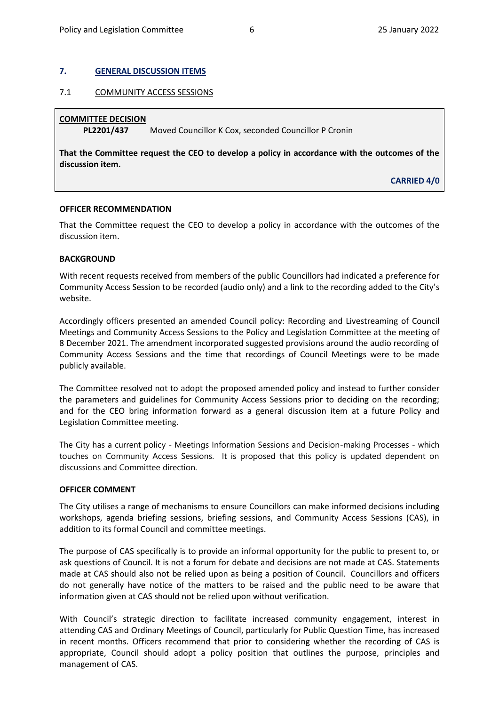#### <span id="page-5-0"></span>**7. GENERAL DISCUSSION ITEMS**

#### <span id="page-5-1"></span>7.1 COMMUNITY ACCESS SESSIONS

#### **COMMITTEE DECISION**

**PL2201/437** Moved Councillor K Cox, seconded Councillor P Cronin

**That the Committee request the CEO to develop a policy in accordance with the outcomes of the discussion item.**

**CARRIED 4/0**

#### **OFFICER RECOMMENDATION**

That the Committee request the CEO to develop a policy in accordance with the outcomes of the discussion item.

#### **BACKGROUND**

With recent requests received from members of the public Councillors had indicated a preference for Community Access Session to be recorded (audio only) and a link to the recording added to the City's website.

Accordingly officers presented an amended Council policy: Recording and Livestreaming of Council Meetings and Community Access Sessions to the Policy and Legislation Committee at the meeting of 8 December 2021. The amendment incorporated suggested provisions around the audio recording of Community Access Sessions and the time that recordings of Council Meetings were to be made publicly available.

The Committee resolved not to adopt the proposed amended policy and instead to further consider the parameters and guidelines for Community Access Sessions prior to deciding on the recording; and for the CEO bring information forward as a general discussion item at a future Policy and Legislation Committee meeting.

The City has a current policy - Meetings Information Sessions and Decision-making Processes - which touches on Community Access Sessions. It is proposed that this policy is updated dependent on discussions and Committee direction.

#### **OFFICER COMMENT**

The City utilises a range of mechanisms to ensure Councillors can make informed decisions including workshops, agenda briefing sessions, briefing sessions, and Community Access Sessions (CAS), in addition to its formal Council and committee meetings.

The purpose of CAS specifically is to provide an informal opportunity for the public to present to, or ask questions of Council. It is not a forum for debate and decisions are not made at CAS. Statements made at CAS should also not be relied upon as being a position of Council. Councillors and officers do not generally have notice of the matters to be raised and the public need to be aware that information given at CAS should not be relied upon without verification.

With Council's strategic direction to facilitate increased community engagement, interest in attending CAS and Ordinary Meetings of Council, particularly for Public Question Time, has increased in recent months. Officers recommend that prior to considering whether the recording of CAS is appropriate, Council should adopt a policy position that outlines the purpose, principles and management of CAS.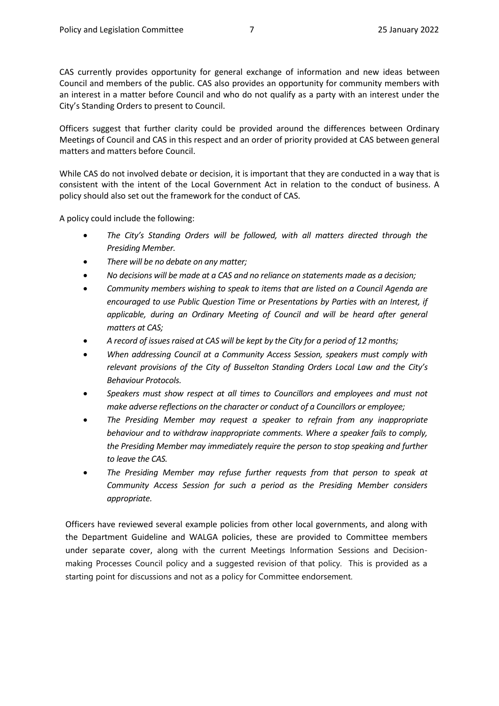CAS currently provides opportunity for general exchange of information and new ideas between Council and members of the public. CAS also provides an opportunity for community members with an interest in a matter before Council and who do not qualify as a party with an interest under the City's Standing Orders to present to Council.

Officers suggest that further clarity could be provided around the differences between Ordinary Meetings of Council and CAS in this respect and an order of priority provided at CAS between general matters and matters before Council.

While CAS do not involved debate or decision, it is important that they are conducted in a way that is consistent with the intent of the Local Government Act in relation to the conduct of business. A policy should also set out the framework for the conduct of CAS.

A policy could include the following:

- *The City's Standing Orders will be followed, with all matters directed through the Presiding Member.*
- *There will be no debate on any matter;*
- *No decisions will be made at a CAS and no reliance on statements made as a decision;*
- *Community members wishing to speak to items that are listed on a Council Agenda are encouraged to use Public Question Time or Presentations by Parties with an Interest, if applicable, during an Ordinary Meeting of Council and will be heard after general matters at CAS;*
- *A record of issues raised at CAS will be kept by the City for a period of 12 months;*
- *When addressing Council at a Community Access Session, speakers must comply with relevant provisions of the City of Busselton Standing Orders Local Law and the City's Behaviour Protocols.*
- *Speakers must show respect at all times to Councillors and employees and must not make adverse reflections on the character or conduct of a Councillors or employee;*
- *The Presiding Member may request a speaker to refrain from any inappropriate behaviour and to withdraw inappropriate comments. Where a speaker fails to comply, the Presiding Member may immediately require the person to stop speaking and further to leave the CAS.*
- *The Presiding Member may refuse further requests from that person to speak at Community Access Session for such a period as the Presiding Member considers appropriate.*

Officers have reviewed several example policies from other local governments, and along with the Department Guideline and WALGA policies, these are provided to Committee members under separate cover, along with the current Meetings Information Sessions and Decisionmaking Processes Council policy and a suggested revision of that policy. This is provided as a starting point for discussions and not as a policy for Committee endorsement.